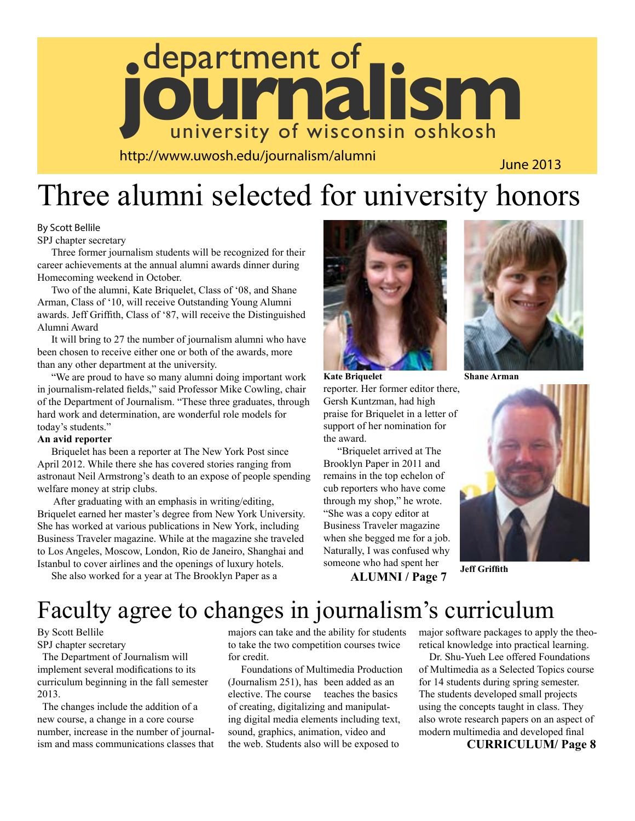

http://www.uwosh.edu/journalism/alumni

June 2013

## Three alumni selected for university honors

#### By Scott Bellile

SPJ chapter secretary

Three former journalism students will be recognized for their career achievements at the annual alumni awards dinner during Homecoming weekend in October.

Two of the alumni, Kate Briquelet, Class of '08, and Shane Arman, Class of '10, will receive Outstanding Young Alumni awards. Jeff Griffith, Class of '87, will receive the Distinguished Alumni Award

It will bring to 27 the number of journalism alumni who have been chosen to receive either one or both of the awards, more than any other department at the university.

"We are proud to have so many alumni doing important work in journalism-related fields," said Professor Mike Cowling, chair of the Department of Journalism. "These three graduates, through hard work and determination, are wonderful role models for today's students."

#### **An avid reporter**

Briquelet has been a reporter at The New York Post since April 2012. While there she has covered stories ranging from astronaut Neil Armstrong's death to an expose of people spending welfare money at strip clubs.

 After graduating with an emphasis in writing/editing, Briquelet earned her master's degree from New York University. She has worked at various publications in New York, including Business Traveler magazine. While at the magazine she traveled to Los Angeles, Moscow, London, Rio de Janeiro, Shanghai and Istanbul to cover airlines and the openings of luxury hotels.

She also worked for a year at The Brooklyn Paper as a



reporter. Her former editor there, Gersh Kuntzman, had high praise for Briquelet in a letter of support of her nomination for the award. **Kate Briquelet**

"Briquelet arrived at The Brooklyn Paper in 2011 and remains in the top echelon of cub reporters who have come through my shop," he wrote. "She was a copy editor at Business Traveler magazine when she begged me for a job. Naturally, I was confused why someone who had spent her **ALUMNI / Page 7**



**Shane Arman**



**Jeff Griffith**

### Faculty agree to changes in journalism's curriculum

#### By Scott Bellile

SPJ chapter secretary

 The Department of Journalism will implement several modifications to its curriculum beginning in the fall semester 2013.

 The changes include the addition of a new course, a change in a core course number, increase in the number of journalism and mass communications classes that majors can take and the ability for students to take the two competition courses twice for credit.

 Foundations of Multimedia Production (Journalism 251), has been added as an elective. The course teaches the basics of creating, digitalizing and manipulating digital media elements including text, sound, graphics, animation, video and the web. Students also will be exposed to

major software packages to apply the theoretical knowledge into practical learning.

 Dr. Shu-Yueh Lee offered Foundations of Multimedia as a Selected Topics course for 14 students during spring semester. The students developed small projects using the concepts taught in class. They also wrote research papers on an aspect of modern multimedia and developed final

#### **CURRICULUM/ Page 8**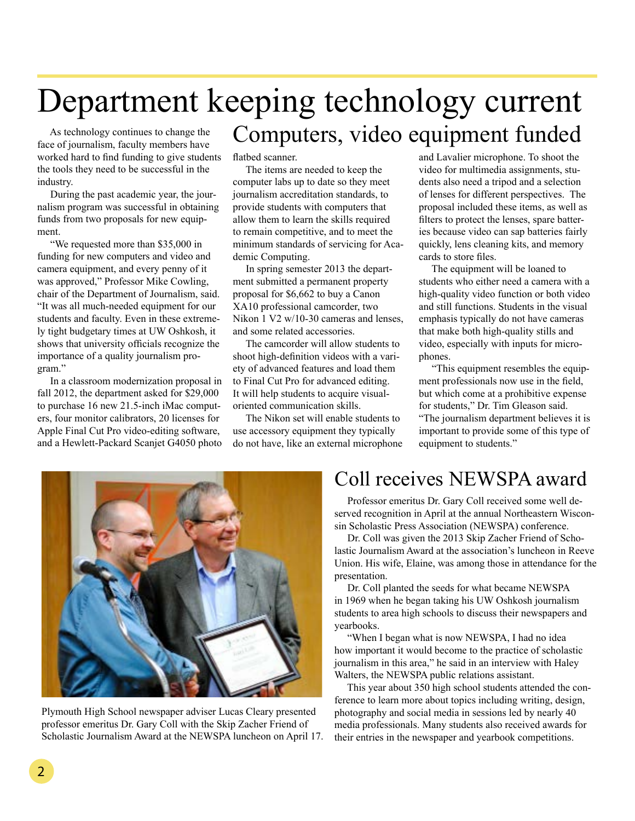## Department keeping technology current Computers, video equipment funded

 As technology continues to change the face of journalism, faculty members have worked hard to find funding to give students the tools they need to be successful in the industry.

 During the past academic year, the journalism program was successful in obtaining funds from two proposals for new equipment.

 "We requested more than \$35,000 in funding for new computers and video and camera equipment, and every penny of it was approved," Professor Mike Cowling, chair of the Department of Journalism, said. "It was all much-needed equipment for our students and faculty. Even in these extremely tight budgetary times at UW Oshkosh, it shows that university officials recognize the importance of a quality journalism program."

 In a classroom modernization proposal in fall 2012, the department asked for \$29,000 to purchase 16 new 21.5-inch iMac computers, four monitor calibrators, 20 licenses for Apple Final Cut Pro video-editing software, and a Hewlett-Packard Scanjet G4050 photo flatbed scanner.

 The items are needed to keep the computer labs up to date so they meet journalism accreditation standards, to provide students with computers that allow them to learn the skills required to remain competitive, and to meet the minimum standards of servicing for Academic Computing.

 In spring semester 2013 the department submitted a permanent property proposal for \$6,662 to buy a Canon XA10 professional camcorder, two Nikon 1 V2 w/10-30 cameras and lenses, and some related accessories.

 The camcorder will allow students to shoot high-definition videos with a variety of advanced features and load them to Final Cut Pro for advanced editing. It will help students to acquire visualoriented communication skills.

 The Nikon set will enable students to use accessory equipment they typically do not have, like an external microphone and Lavalier microphone. To shoot the video for multimedia assignments, students also need a tripod and a selection of lenses for different perspectives. The proposal included these items, as well as filters to protect the lenses, spare batteries because video can sap batteries fairly quickly, lens cleaning kits, and memory cards to store files.

 The equipment will be loaned to students who either need a camera with a high-quality video function or both video and still functions. Students in the visual emphasis typically do not have cameras that make both high-quality stills and video, especially with inputs for microphones.

 "This equipment resembles the equipment professionals now use in the field, but which come at a prohibitive expense for students," Dr. Tim Gleason said. "The journalism department believes it is important to provide some of this type of equipment to students."



Plymouth High School newspaper adviser Lucas Cleary presented professor emeritus Dr. Gary Coll with the Skip Zacher Friend of Scholastic Journalism Award at the NEWSPA luncheon on April 17.

### Coll receives NEWSPA award

 Professor emeritus Dr. Gary Coll received some well deserved recognition in April at the annual Northeastern Wisconsin Scholastic Press Association (NEWSPA) conference.

 Dr. Coll was given the 2013 Skip Zacher Friend of Scholastic Journalism Award at the association's luncheon in Reeve Union. His wife, Elaine, was among those in attendance for the presentation.

 Dr. Coll planted the seeds for what became NEWSPA in 1969 when he began taking his UW Oshkosh journalism students to area high schools to discuss their newspapers and yearbooks.

 "When I began what is now NEWSPA, I had no idea how important it would become to the practice of scholastic journalism in this area," he said in an interview with Haley Walters, the NEWSPA public relations assistant.

 This year about 350 high school students attended the conference to learn more about topics including writing, design, photography and social media in sessions led by nearly 40 media professionals. Many students also received awards for their entries in the newspaper and yearbook competitions.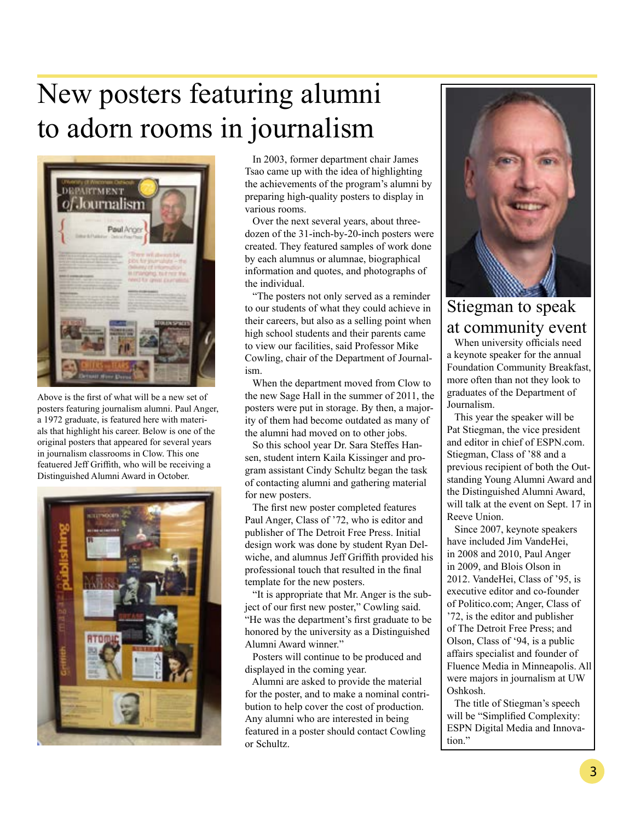## New posters featuring alumni to adorn rooms in journalism



Above is the first of what will be a new set of posters featuring journalism alumni. Paul Anger, a 1972 graduate, is featured here with materials that highlight his career. Below is one of the original posters that appeared for several years in journalism classrooms in Clow. This one featuered Jeff Griffith, who will be receiving a Distinguished Alumni Award in October.



 In 2003, former department chair James Tsao came up with the idea of highlighting the achievements of the program's alumni by preparing high-quality posters to display in various rooms.

 Over the next several years, about threedozen of the 31-inch-by-20-inch posters were created. They featured samples of work done by each alumnus or alumnae, biographical information and quotes, and photographs of the individual.

 "The posters not only served as a reminder to our students of what they could achieve in their careers, but also as a selling point when high school students and their parents came to view our facilities, said Professor Mike Cowling, chair of the Department of Journalism.

 When the department moved from Clow to the new Sage Hall in the summer of 2011, the posters were put in storage. By then, a majority of them had become outdated as many of the alumni had moved on to other jobs.

 So this school year Dr. Sara Steffes Hansen, student intern Kaila Kissinger and program assistant Cindy Schultz began the task of contacting alumni and gathering material for new posters.

 The first new poster completed features Paul Anger, Class of '72, who is editor and publisher of The Detroit Free Press. Initial design work was done by student Ryan Delwiche, and alumnus Jeff Griffith provided his professional touch that resulted in the final template for the new posters.

 "It is appropriate that Mr. Anger is the subject of our first new poster," Cowling said. "He was the department's first graduate to be honored by the university as a Distinguished Alumni Award winner."

 Posters will continue to be produced and displayed in the coming year.

 Alumni are asked to provide the material for the poster, and to make a nominal contribution to help cover the cost of production. Any alumni who are interested in being featured in a poster should contact Cowling or Schultz.



### Stiegman to speak at community event

 When university officials need a keynote speaker for the annual Foundation Community Breakfast, more often than not they look to graduates of the Department of Journalism.

 This year the speaker will be Pat Stiegman, the vice president and editor in chief of ESPN.com. Stiegman, Class of '88 and a previous recipient of both the Outstanding Young Alumni Award and the Distinguished Alumni Award, will talk at the event on Sept. 17 in Reeve Union.

 Since 2007, keynote speakers have included Jim VandeHei, in 2008 and 2010, Paul Anger in 2009, and Blois Olson in 2012. VandeHei, Class of '95, is executive editor and co-founder of Politico.com; Anger, Class of '72, is the editor and publisher of The Detroit Free Press; and Olson, Class of '94, is a public affairs specialist and founder of Fluence Media in Minneapolis. All were majors in journalism at UW Oshkosh.

 The title of Stiegman's speech will be "Simplified Complexity: ESPN Digital Media and Innovation."

٦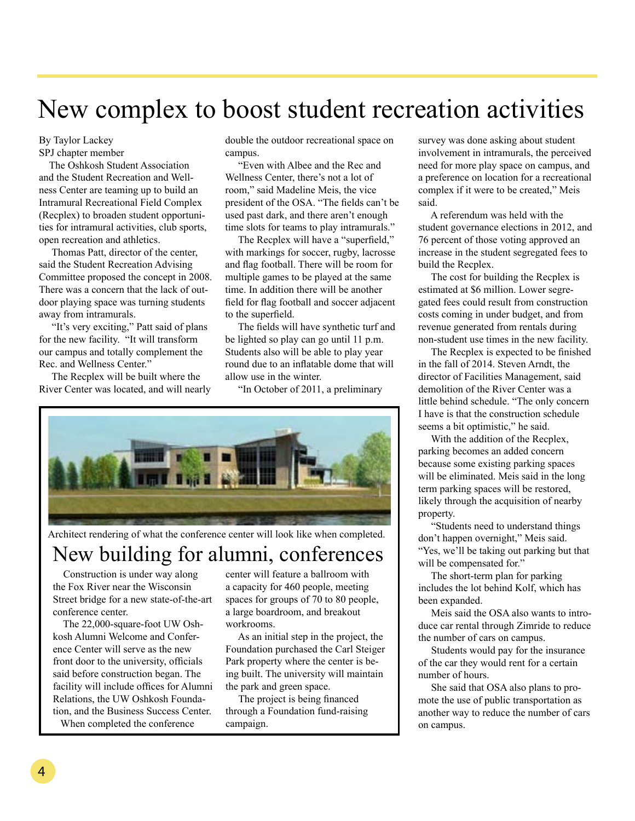## New complex to boost student recreation activities

By Taylor Lackey SPJ chapter member

 The Oshkosh Student Association and the Student Recreation and Wellness Center are teaming up to build an Intramural Recreational Field Complex (Recplex) to broaden student opportunities for intramural activities, club sports, open recreation and athletics.

 Thomas Patt, director of the center, said the Student Recreation Advising Committee proposed the concept in 2008. There was a concern that the lack of outdoor playing space was turning students away from intramurals.

 "It's very exciting," Patt said of plans for the new facility. "It will transform our campus and totally complement the Rec. and Wellness Center."

 The Recplex will be built where the River Center was located, and will nearly double the outdoor recreational space on campus.

 "Even with Albee and the Rec and Wellness Center, there's not a lot of room," said Madeline Meis, the vice president of the OSA. "The fields can't be used past dark, and there aren't enough time slots for teams to play intramurals."

 The Recplex will have a "superfield," with markings for soccer, rugby, lacrosse and flag football. There will be room for multiple games to be played at the same time. In addition there will be another field for flag football and soccer adjacent to the superfield.

 The fields will have synthetic turf and be lighted so play can go until 11 p.m. Students also will be able to play year round due to an inflatable dome that will allow use in the winter.

"In October of 2011, a preliminary



Architect rendering of what the conference center will look like when completed.

### New building for alumni, conferences

 Construction is under way along the Fox River near the Wisconsin Street bridge for a new state-of-the-art conference center.

 The 22,000-square-foot UW Oshkosh Alumni Welcome and Conference Center will serve as the new front door to the university, officials said before construction began. The facility will include offices for Alumni Relations, the UW Oshkosh Foundation, and the Business Success Center. When completed the conference

center will feature a ballroom with a capacity for 460 people, meeting spaces for groups of 70 to 80 people, a large boardroom, and breakout workrooms.

 As an initial step in the project, the Foundation purchased the Carl Steiger Park property where the center is being built. The university will maintain the park and green space.

 The project is being financed through a Foundation fund-raising campaign.

survey was done asking about student involvement in intramurals, the perceived need for more play space on campus, and a preference on location for a recreational complex if it were to be created," Meis said.

 A referendum was held with the student governance elections in 2012, and 76 percent of those voting approved an increase in the student segregated fees to build the Recplex.

 The cost for building the Recplex is estimated at \$6 million. Lower segregated fees could result from construction costs coming in under budget, and from revenue generated from rentals during non-student use times in the new facility.

 The Recplex is expected to be finished in the fall of 2014. Steven Arndt, the director of Facilities Management, said demolition of the River Center was a little behind schedule. "The only concern I have is that the construction schedule seems a bit optimistic," he said.

 With the addition of the Recplex, parking becomes an added concern because some existing parking spaces will be eliminated. Meis said in the long term parking spaces will be restored, likely through the acquisition of nearby property.

 "Students need to understand things don't happen overnight," Meis said. "Yes, we'll be taking out parking but that will be compensated for."

 The short-term plan for parking includes the lot behind Kolf, which has been expanded.

 Meis said the OSA also wants to introduce car rental through Zimride to reduce the number of cars on campus.

 Students would pay for the insurance of the car they would rent for a certain number of hours.

 She said that OSA also plans to promote the use of public transportation as another way to reduce the number of cars on campus.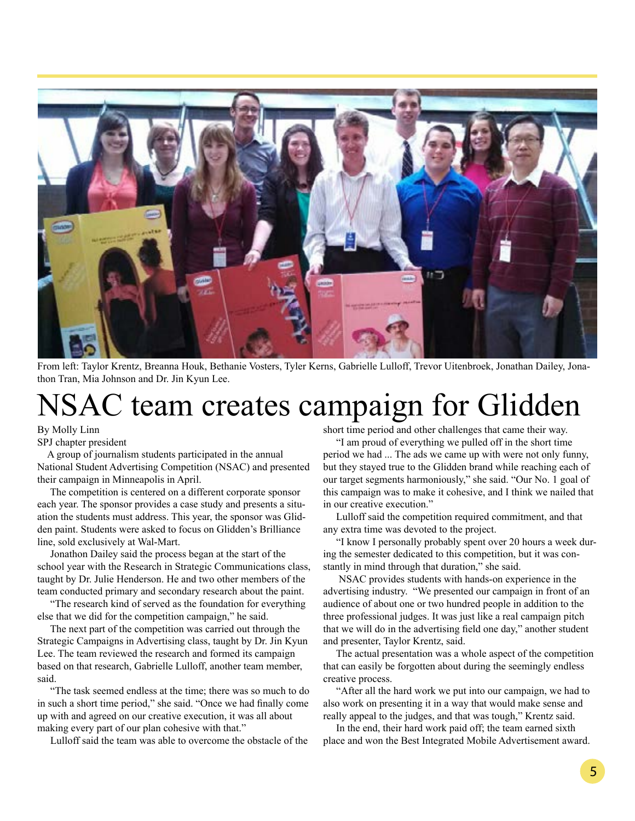

From left: Taylor Krentz, Breanna Houk, Bethanie Vosters, Tyler Kerns, Gabrielle Lulloff, Trevor Uitenbroek, Jonathan Dailey, Jonathon Tran, Mia Johnson and Dr. Jin Kyun Lee.

# NSAC team creates campaign for Glidden

By Molly Linn

SPJ chapter president

 A group of journalism students participated in the annual National Student Advertising Competition (NSAC) and presented their campaign in Minneapolis in April.

 The competition is centered on a different corporate sponsor each year. The sponsor provides a case study and presents a situation the students must address. This year, the sponsor was Glidden paint. Students were asked to focus on Glidden's Brilliance line, sold exclusively at Wal-Mart.

 Jonathon Dailey said the process began at the start of the school year with the Research in Strategic Communications class, taught by Dr. Julie Henderson. He and two other members of the team conducted primary and secondary research about the paint.

 "The research kind of served as the foundation for everything else that we did for the competition campaign," he said.

 The next part of the competition was carried out through the Strategic Campaigns in Advertising class, taught by Dr. Jin Kyun Lee. The team reviewed the research and formed its campaign based on that research, Gabrielle Lulloff, another team member, said.

 "The task seemed endless at the time; there was so much to do in such a short time period," she said. "Once we had finally come up with and agreed on our creative execution, it was all about making every part of our plan cohesive with that."

Lulloff said the team was able to overcome the obstacle of the

short time period and other challenges that came their way.

 "I am proud of everything we pulled off in the short time period we had ... The ads we came up with were not only funny, but they stayed true to the Glidden brand while reaching each of our target segments harmoniously," she said. "Our No. 1 goal of this campaign was to make it cohesive, and I think we nailed that in our creative execution."

 Lulloff said the competition required commitment, and that any extra time was devoted to the project.

 "I know I personally probably spent over 20 hours a week during the semester dedicated to this competition, but it was constantly in mind through that duration," she said.

 NSAC provides students with hands-on experience in the advertising industry. "We presented our campaign in front of an audience of about one or two hundred people in addition to the three professional judges. It was just like a real campaign pitch that we will do in the advertising field one day," another student and presenter, Taylor Krentz, said.

 The actual presentation was a whole aspect of the competition that can easily be forgotten about during the seemingly endless creative process.

 "After all the hard work we put into our campaign, we had to also work on presenting it in a way that would make sense and really appeal to the judges, and that was tough," Krentz said.

 In the end, their hard work paid off; the team earned sixth place and won the Best Integrated Mobile Advertisement award.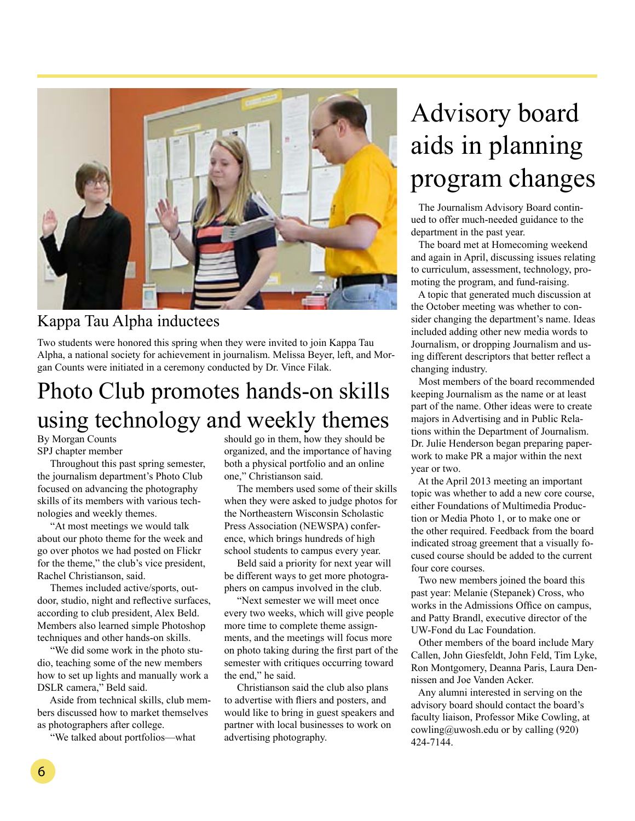

### Kappa Tau Alpha inductees

Two students were honored this spring when they were invited to join Kappa Tau Alpha, a national society for achievement in journalism. Melissa Beyer, left, and Morgan Counts were initiated in a ceremony conducted by Dr. Vince Filak.

### Photo Club promotes hands-on skills using technology and weekly themes

By Morgan Counts SPJ chapter member

 Throughout this past spring semester, the journalism department's Photo Club focused on advancing the photography skills of its members with various technologies and weekly themes.

 "At most meetings we would talk about our photo theme for the week and go over photos we had posted on Flickr for the theme," the club's vice president, Rachel Christianson, said.

 Themes included active/sports, outdoor, studio, night and reflective surfaces, according to club president, Alex Beld. Members also learned simple Photoshop techniques and other hands-on skills.

 "We did some work in the photo studio, teaching some of the new members how to set up lights and manually work a DSLR camera," Beld said.

 Aside from technical skills, club members discussed how to market themselves as photographers after college.

"We talked about portfolios—what

should go in them, how they should be organized, and the importance of having both a physical portfolio and an online one," Christianson said.

 The members used some of their skills when they were asked to judge photos for the Northeastern Wisconsin Scholastic Press Association (NEWSPA) conference, which brings hundreds of high school students to campus every year.

 Beld said a priority for next year will be different ways to get more photographers on campus involved in the club.

 "Next semester we will meet once every two weeks, which will give people more time to complete theme assignments, and the meetings will focus more on photo taking during the first part of the semester with critiques occurring toward the end," he said.

 Christianson said the club also plans to advertise with fliers and posters, and would like to bring in guest speakers and partner with local businesses to work on advertising photography.

# Advisory board aids in planning program changes

 The Journalism Advisory Board continued to offer much-needed guidance to the department in the past year.

 The board met at Homecoming weekend and again in April, discussing issues relating to curriculum, assessment, technology, promoting the program, and fund-raising.

 A topic that generated much discussion at the October meeting was whether to consider changing the department's name. Ideas included adding other new media words to Journalism, or dropping Journalism and using different descriptors that better reflect a changing industry.

 Most members of the board recommended keeping Journalism as the name or at least part of the name. Other ideas were to create majors in Advertising and in Public Relations within the Department of Journalism. Dr. Julie Henderson began preparing paperwork to make PR a major within the next year or two.

 At the April 2013 meeting an important topic was whether to add a new core course, either Foundations of Multimedia Production or Media Photo 1, or to make one or the other required. Feedback from the board indicated stroag greement that a visually focused course should be added to the current four core courses.

 Two new members joined the board this past year: Melanie (Stepanek) Cross, who works in the Admissions Office on campus, and Patty Brandl, executive director of the UW-Fond du Lac Foundation.

 Other members of the board include Mary Callen, John Giesfeldt, John Feld, Tim Lyke, Ron Montgomery, Deanna Paris, Laura Dennissen and Joe Vanden Acker.

 Any alumni interested in serving on the advisory board should contact the board's faculty liaison, Professor Mike Cowling, at cowling@uwosh.edu or by calling (920) 424-7144.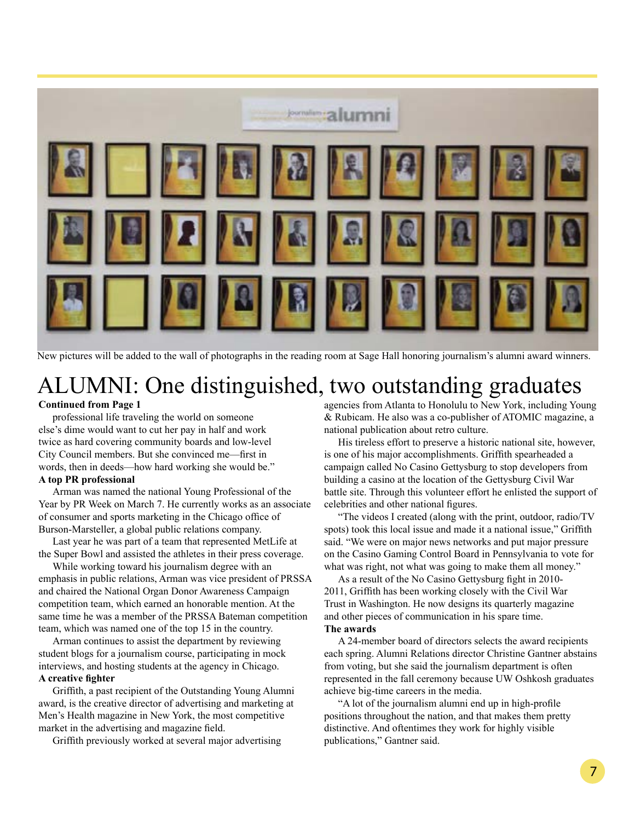

New pictures will be added to the wall of photographs in the reading room at Sage Hall honoring journalism's alumni award winners.

### ALUMNI: One distinguished, two outstanding graduates

#### **Continued from Page 1**

professional life traveling the world on someone else's dime would want to cut her pay in half and work twice as hard covering community boards and low-level City Council members. But she convinced me—first in words, then in deeds—how hard working she would be." **A top PR professional**

### Arman was named the national Young Professional of the

Year by PR Week on March 7. He currently works as an associate of consumer and sports marketing in the Chicago office of Burson-Marsteller, a global public relations company.

Last year he was part of a team that represented MetLife at the Super Bowl and assisted the athletes in their press coverage.

While working toward his journalism degree with an emphasis in public relations, Arman was vice president of PRSSA and chaired the National Organ Donor Awareness Campaign competition team, which earned an honorable mention. At the same time he was a member of the PRSSA Bateman competition team, which was named one of the top 15 in the country.

Arman continues to assist the department by reviewing student blogs for a journalism course, participating in mock interviews, and hosting students at the agency in Chicago. **A creative fighter**

Griffith, a past recipient of the Outstanding Young Alumni award, is the creative director of advertising and marketing at Men's Health magazine in New York, the most competitive market in the advertising and magazine field.

Griffith previously worked at several major advertising

agencies from Atlanta to Honolulu to New York, including Young & Rubicam. He also was a co-publisher of ATOMIC magazine, a national publication about retro culture.

His tireless effort to preserve a historic national site, however, is one of his major accomplishments. Griffith spearheaded a campaign called No Casino Gettysburg to stop developers from building a casino at the location of the Gettysburg Civil War battle site. Through this volunteer effort he enlisted the support of celebrities and other national figures.

"The videos I created (along with the print, outdoor, radio/TV spots) took this local issue and made it a national issue," Griffith said. "We were on major news networks and put major pressure on the Casino Gaming Control Board in Pennsylvania to vote for what was right, not what was going to make them all money."

As a result of the No Casino Gettysburg fight in 2010- 2011, Griffith has been working closely with the Civil War Trust in Washington. He now designs its quarterly magazine and other pieces of communication in his spare time. **The awards**

A 24-member board of directors selects the award recipients each spring. Alumni Relations director Christine Gantner abstains from voting, but she said the journalism department is often represented in the fall ceremony because UW Oshkosh graduates achieve big-time careers in the media.

"A lot of the journalism alumni end up in high-profile positions throughout the nation, and that makes them pretty distinctive. And oftentimes they work for highly visible publications," Gantner said.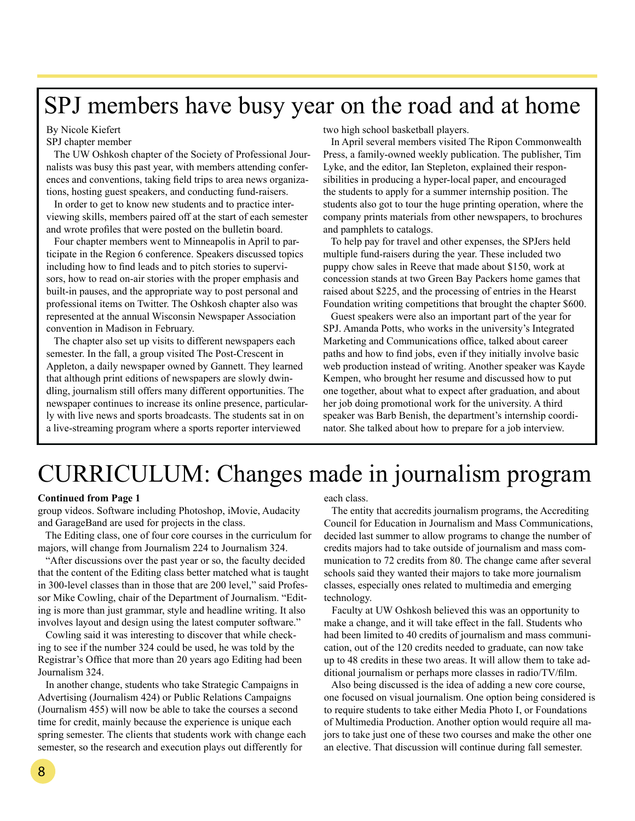### SPJ members have busy year on the road and at home

#### By Nicole Kiefert

SPJ chapter member

 The UW Oshkosh chapter of the Society of Professional Journalists was busy this past year, with members attending conferences and conventions, taking field trips to area news organizations, hosting guest speakers, and conducting fund-raisers.

 In order to get to know new students and to practice interviewing skills, members paired off at the start of each semester and wrote profiles that were posted on the bulletin board.

 Four chapter members went to Minneapolis in April to participate in the Region 6 conference. Speakers discussed topics including how to find leads and to pitch stories to supervisors, how to read on-air stories with the proper emphasis and built-in pauses, and the appropriate way to post personal and professional items on Twitter. The Oshkosh chapter also was represented at the annual Wisconsin Newspaper Association convention in Madison in February.

 The chapter also set up visits to different newspapers each semester. In the fall, a group visited The Post-Crescent in Appleton, a daily newspaper owned by Gannett. They learned that although print editions of newspapers are slowly dwindling, journalism still offers many different opportunities. The newspaper continues to increase its online presence, particularly with live news and sports broadcasts. The students sat in on a live-streaming program where a sports reporter interviewed

#### two high school basketball players.

 In April several members visited The Ripon Commonwealth Press, a family-owned weekly publication. The publisher, Tim Lyke, and the editor, Ian Stepleton, explained their responsibilities in producing a hyper-local paper, and encouraged the students to apply for a summer internship position. The students also got to tour the huge printing operation, where the company prints materials from other newspapers, to brochures and pamphlets to catalogs.

 To help pay for travel and other expenses, the SPJers held multiple fund-raisers during the year. These included two puppy chow sales in Reeve that made about \$150, work at concession stands at two Green Bay Packers home games that raised about \$225, and the processing of entries in the Hearst Foundation writing competitions that brought the chapter \$600.

 Guest speakers were also an important part of the year for SPJ. Amanda Potts, who works in the university's Integrated Marketing and Communications office, talked about career paths and how to find jobs, even if they initially involve basic web production instead of writing. Another speaker was Kayde Kempen, who brought her resume and discussed how to put one together, about what to expect after graduation, and about her job doing promotional work for the university. A third speaker was Barb Benish, the department's internship coordinator. She talked about how to prepare for a job interview.

## CURRICULUM: Changes made in journalism program

#### **Continued from Page 1**

group videos. Software including Photoshop, iMovie, Audacity and GarageBand are used for projects in the class.

 The Editing class, one of four core courses in the curriculum for majors, will change from Journalism 224 to Journalism 324.

 "After discussions over the past year or so, the faculty decided that the content of the Editing class better matched what is taught in 300-level classes than in those that are 200 level," said Professor Mike Cowling, chair of the Department of Journalism. "Editing is more than just grammar, style and headline writing. It also involves layout and design using the latest computer software."

 Cowling said it was interesting to discover that while checking to see if the number 324 could be used, he was told by the Registrar's Office that more than 20 years ago Editing had been Journalism 324.

 In another change, students who take Strategic Campaigns in Advertising (Journalism 424) or Public Relations Campaigns (Journalism 455) will now be able to take the courses a second time for credit, mainly because the experience is unique each spring semester. The clients that students work with change each semester, so the research and execution plays out differently for

each class.

 The entity that accredits journalism programs, the Accrediting Council for Education in Journalism and Mass Communications, decided last summer to allow programs to change the number of credits majors had to take outside of journalism and mass communication to 72 credits from 80. The change came after several schools said they wanted their majors to take more journalism classes, especially ones related to multimedia and emerging technology.

 Faculty at UW Oshkosh believed this was an opportunity to make a change, and it will take effect in the fall. Students who had been limited to 40 credits of journalism and mass communication, out of the 120 credits needed to graduate, can now take up to 48 credits in these two areas. It will allow them to take additional journalism or perhaps more classes in radio/TV/film.

 Also being discussed is the idea of adding a new core course, one focused on visual journalism. One option being considered is to require students to take either Media Photo I, or Foundations of Multimedia Production. Another option would require all majors to take just one of these two courses and make the other one an elective. That discussion will continue during fall semester.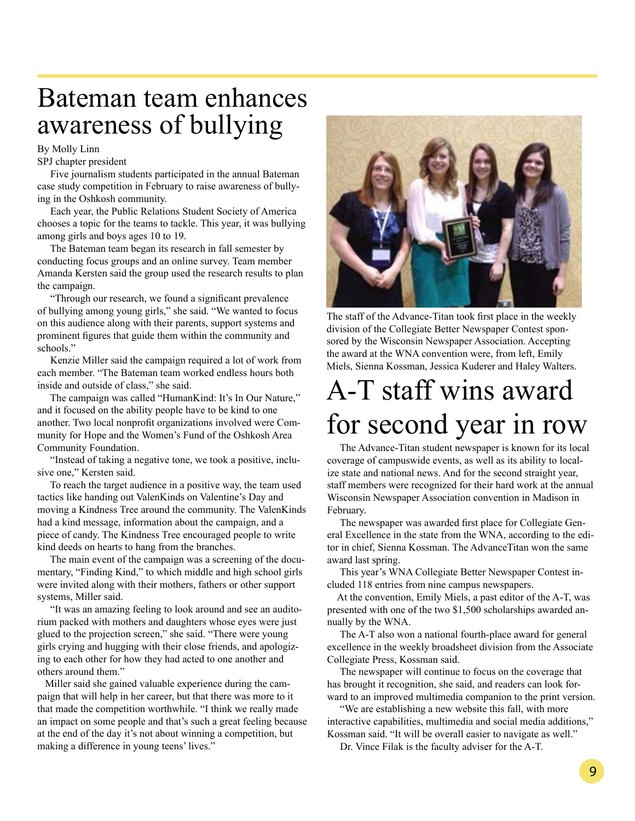### Bateman team enhances awareness of bullying

#### By Molly Linn

SPJ chapter president

 Five journalism students participated in the annual Bateman case study competition in February to raise awareness of bullying in the Oshkosh community.

 Each year, the Public Relations Student Society of America chooses a topic for the teams to tackle. This year, it was bullying among girls and boys ages 10 to 19.

 The Bateman team began its research in fall semester by conducting focus groups and an online survey. Team member Amanda Kersten said the group used the research results to plan the campaign.

 "Through our research, we found a significant prevalence of bullying among young girls," she said. "We wanted to focus on this audience along with their parents, support systems and prominent figures that guide them within the community and schools."

 Kenzie Miller said the campaign required a lot of work from each member. "The Bateman team worked endless hours both inside and outside of class," she said.

 The campaign was called "HumanKind: It's In Our Nature," and it focused on the ability people have to be kind to one another. Two local nonprofit organizations involved were Community for Hope and the Women's Fund of the Oshkosh Area Community Foundation.

 "Instead of taking a negative tone, we took a positive, inclusive one," Kersten said.

 To reach the target audience in a positive way, the team used tactics like handing out ValenKinds on Valentine's Day and moving a Kindness Tree around the community. The ValenKinds had a kind message, information about the campaign, and a piece of candy. The Kindness Tree encouraged people to write kind deeds on hearts to hang from the branches.

 The main event of the campaign was a screening of the documentary, "Finding Kind," to which middle and high school girls were invited along with their mothers, fathers or other support systems, Miller said.

 "It was an amazing feeling to look around and see an auditorium packed with mothers and daughters whose eyes were just glued to the projection screen," she said. "There were young girls crying and hugging with their close friends, and apologizing to each other for how they had acted to one another and others around them."

 Miller said she gained valuable experience during the campaign that will help in her career, but that there was more to it that made the competition worthwhile. "I think we really made an impact on some people and that's such a great feeling because at the end of the day it's not about winning a competition, but making a difference in young teens' lives."



The staff of the Advance-Titan took first place in the weekly division of the Collegiate Better Newspaper Contest sponsored by the Wisconsin Newspaper Association. Accepting the award at the WNA convention were, from left, Emily Miels, Sienna Kossman, Jessica Kuderer and Haley Walters.

## A-T staff wins award for second year in row

 The Advance-Titan student newspaper is known for its local coverage of campuswide events, as well as its ability to localize state and national news. And for the second straight year, staff members were recognized for their hard work at the annual Wisconsin Newspaper Association convention in Madison in February.

 The newspaper was awarded first place for Collegiate General Excellence in the state from the WNA, according to the editor in chief, Sienna Kossman. The AdvanceTitan won the same award last spring.

 This year's WNA Collegiate Better Newspaper Contest included 118 entries from nine campus newspapers.

 At the convention, Emily Miels, a past editor of the A-T, was presented with one of the two \$1,500 scholarships awarded annually by the WNA.

 The A-T also won a national fourth-place award for general excellence in the weekly broadsheet division from the Associate Collegiate Press, Kossman said.

 The newspaper will continue to focus on the coverage that has brought it recognition, she said, and readers can look forward to an improved multimedia companion to the print version.

 "We are establishing a new website this fall, with more interactive capabilities, multimedia and social media additions," Kossman said. "It will be overall easier to navigate as well."

Dr. Vince Filak is the faculty adviser for the A-T.